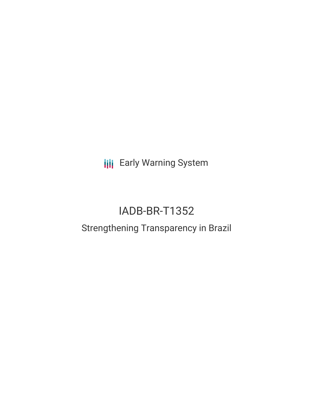**III** Early Warning System

# IADB-BR-T1352

# Strengthening Transparency in Brazil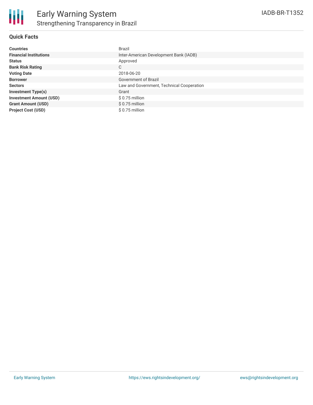

### **Quick Facts**

| <b>Countries</b>               | Brazil                                    |
|--------------------------------|-------------------------------------------|
| <b>Financial Institutions</b>  | Inter-American Development Bank (IADB)    |
| <b>Status</b>                  | Approved                                  |
| <b>Bank Risk Rating</b>        | C                                         |
| <b>Voting Date</b>             | 2018-06-20                                |
| <b>Borrower</b>                | Government of Brazil                      |
| <b>Sectors</b>                 | Law and Government, Technical Cooperation |
| <b>Investment Type(s)</b>      | Grant                                     |
| <b>Investment Amount (USD)</b> | \$0.75 million                            |
| <b>Grant Amount (USD)</b>      | $$0.75$ million                           |
| <b>Project Cost (USD)</b>      | \$0.75 million                            |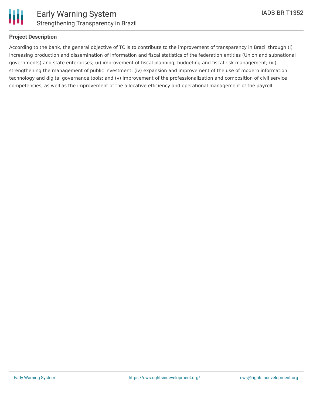

# **Project Description**

According to the bank, the general objective of TC is to contribute to the improvement of transparency in Brazil through (i) increasing production and dissemination of information and fiscal statistics of the federation entities (Union and subnational governments) and state enterprises; (ii) improvement of fiscal planning, budgeting and fiscal risk management; (iii) strengthening the management of public investment; (iv) expansion and improvement of the use of modern information technology and digital governance tools; and (v) improvement of the professionalization and composition of civil service competencies, as well as the improvement of the allocative efficiency and operational management of the payroll.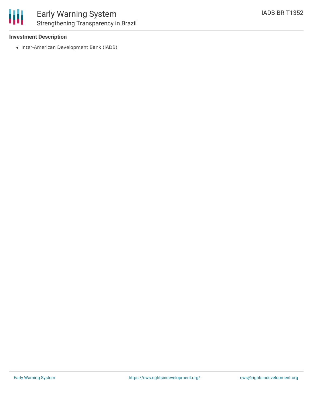#### **Investment Description**

• Inter-American Development Bank (IADB)